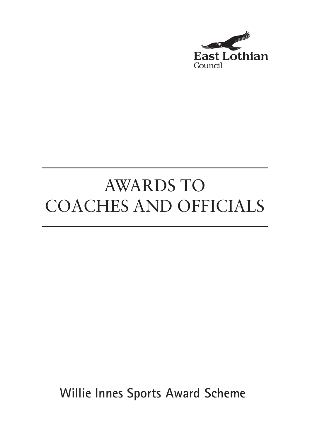

# AWARDS TO COACHES AND OFFICIALS

**Willie Innes Sports Award Scheme**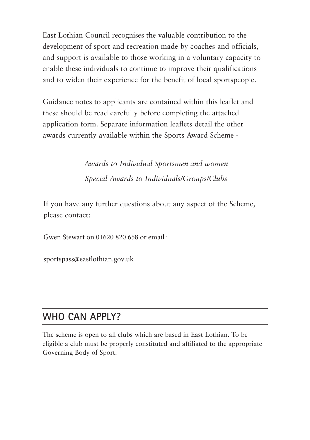East Lothian Council recognises the valuable contribution to the development of sport and recreation made by coaches and officials, and support is available to those working in a voluntary capacity to enable these individuals to continue to improve their qualifications and to widen their experience for the benefit of local sportspeople.

Guidance notes to applicants are contained within this leaflet and these should be read carefully before completing the attached application form. Separate information leaflets detail the other awards currently available within the Sports Award Scheme -

> *Awards to Individual Sportsmen and women Special Awards to Individuals/Groups/Clubs*

If you have any further questions about any aspect of the Scheme, please contact:

Gwen Stewart on 01620 820 658 or email :

sportspass@eastlothian.gov.uk

### **WHO CAN APPLY?**

The scheme is open to all clubs which are based in East Lothian. To be eligible a club must be properly constituted and affiliated to the appropriate Governing Body of Sport.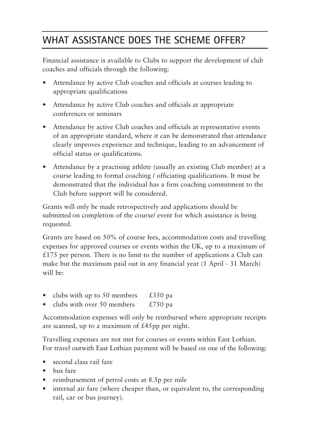# **WHAT ASSISTANCE DOES THE SCHEME OFFER?**

Financial assistance is available to Clubs to support the development of club coaches and officials through the following:

- Attendance by active Club coaches and officials at courses leading to appropriate qualifications
- Attendance by active Club coaches and officials at appropriate conferences or seminars
- Attendance by active Club coaches and officials at representative events of an appropriate standard, where it can be demonstrated that attendance clearly improves experience and technique, leading to an advancement of official status or qualifications.
- Attendance by a practising athlete (usually an existing Club member) at a course leading to formal coaching / officiating qualifications. It must be demonstrated that the individual has a firm coaching commitment to the Club before support will be considered.

Grants will only be made retrospectively and applications should be submitted on completion of the course/ event for which assistance is being requested.

Grants are based on 50% of course fees, accommodation costs and travelling expenses for approved courses or events within the UK, up to a maximum of £175 per person. There is no limit to the number of applications a Club can make but the maximum paid out in any financial year (1 April - 31 March) will be:

- clubs with up to 50 members  $£350$  pa
- clubs with over 50 members  $£750$  pa

Accommodation expenses will only be reimbursed where appropriate receipts are scanned, up to a maximum of  $£45$ pp per night.

Travelling expenses are not met for courses or events within East Lothian. For travel outwith East Lothian payment will be based on one of the following:

- second class rail fare
- bus fare
- reimbursement of petrol costs at 8.5p per mile
- internal air fare (where cheaper than, or equivalent to, the corresponding rail, car or bus journey).